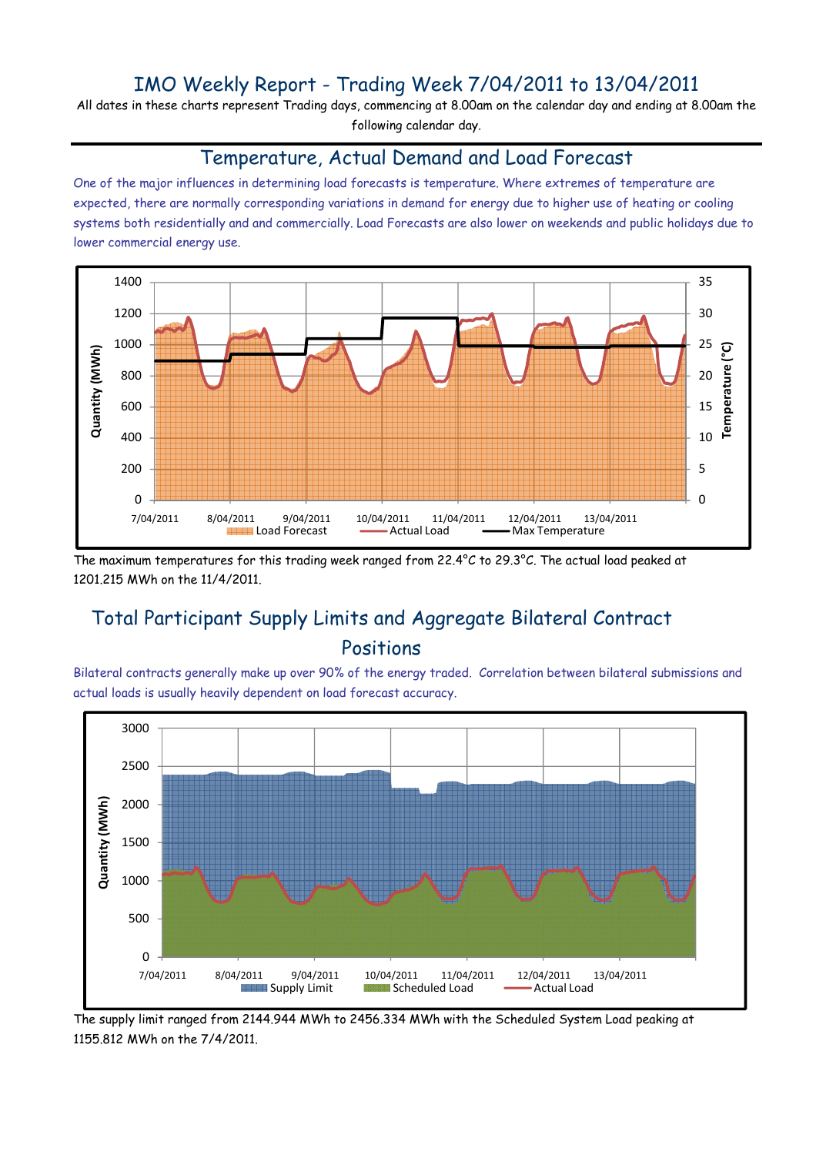## IMO Weekly Report - Trading Week 7/04/2011 to 13/04/2011

All dates in these charts represent Trading days, commencing at 8.00am on the calendar day and ending at 8.00am the following calendar day.

#### Temperature, Actual Demand and Load Forecast

One of the major influences in determining load forecasts is temperature. Where extremes of temperature are expected, there are normally corresponding variations in demand for energy due to higher use of heating or cooling systems both residentially and and commercially. Load Forecasts are also lower on weekends and public holidays due to lower commercial energy use.



The maximum temperatures for this trading week ranged from 22.4°C to 29.3°C. The actual load peaked at 1201.215 MWh on the 11/4/2011.

# Total Participant Supply Limits and Aggregate Bilateral Contract Positions

Bilateral contracts generally make up over 90% of the energy traded. Correlation between bilateral submissions and actual loads is usually heavily dependent on load forecast accuracy.



The supply limit ranged from 2144.944 MWh to 2456.334 MWh with the Scheduled System Load peaking at 1155.812 MWh on the 7/4/2011.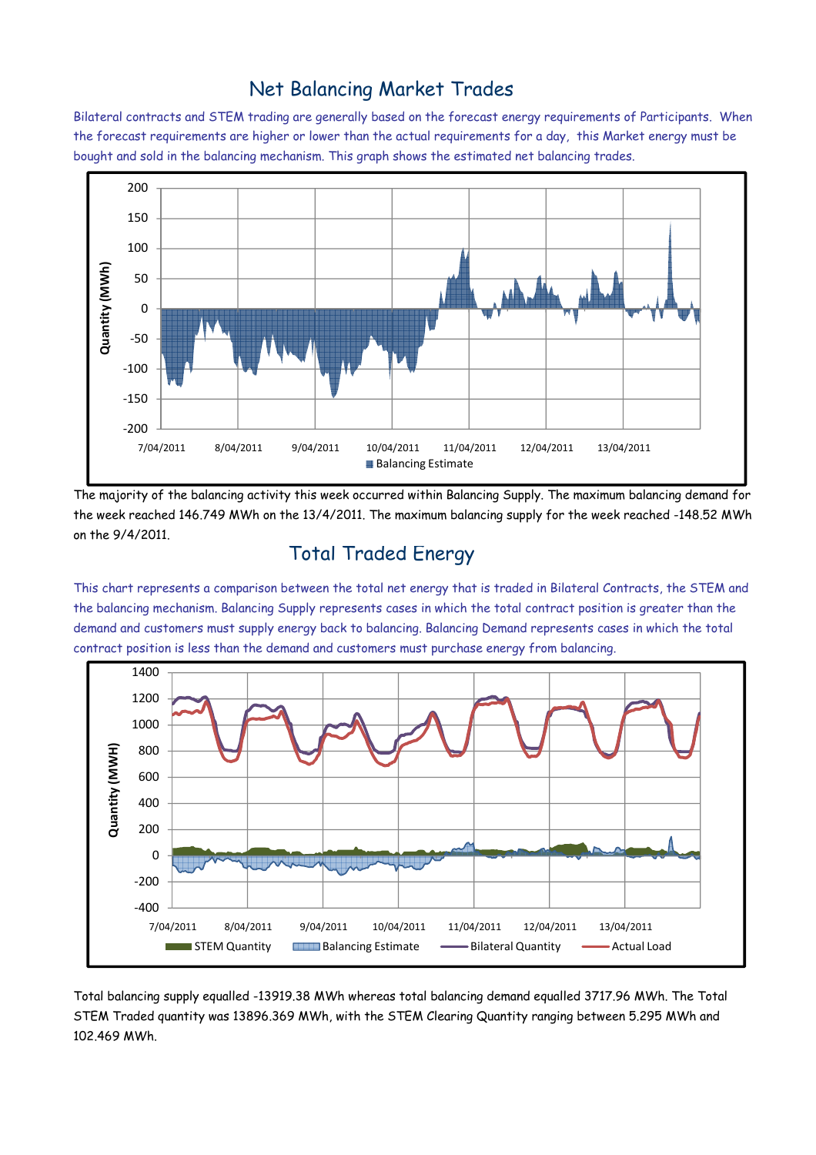### Net Balancing Market Trades

Bilateral contracts and STEM trading are generally based on the forecast energy requirements of Participants. When the forecast requirements are higher or lower than the actual requirements for a day, this Market energy must be bought and sold in the balancing mechanism. This graph shows the estimated net balancing trades.



The majority of the balancing activity this week occurred within Balancing Supply. The maximum balancing demand for the week reached 146.749 MWh on the 13/4/2011. The maximum balancing supply for the week reached -148.52 MWh on the 9/4/2011.

#### Total Traded Energy

This chart represents a comparison between the total net energy that is traded in Bilateral Contracts, the STEM and the balancing mechanism. Balancing Supply represents cases in which the total contract position is greater than the demand and customers must supply energy back to balancing. Balancing Demand represents cases in which the total contract position is less than the demand and customers must purchase energy from balancing.



Total balancing supply equalled -13919.38 MWh whereas total balancing demand equalled 3717.96 MWh. The Total STEM Traded quantity was 13896.369 MWh, with the STEM Clearing Quantity ranging between 5.295 MWh and 102.469 MWh.